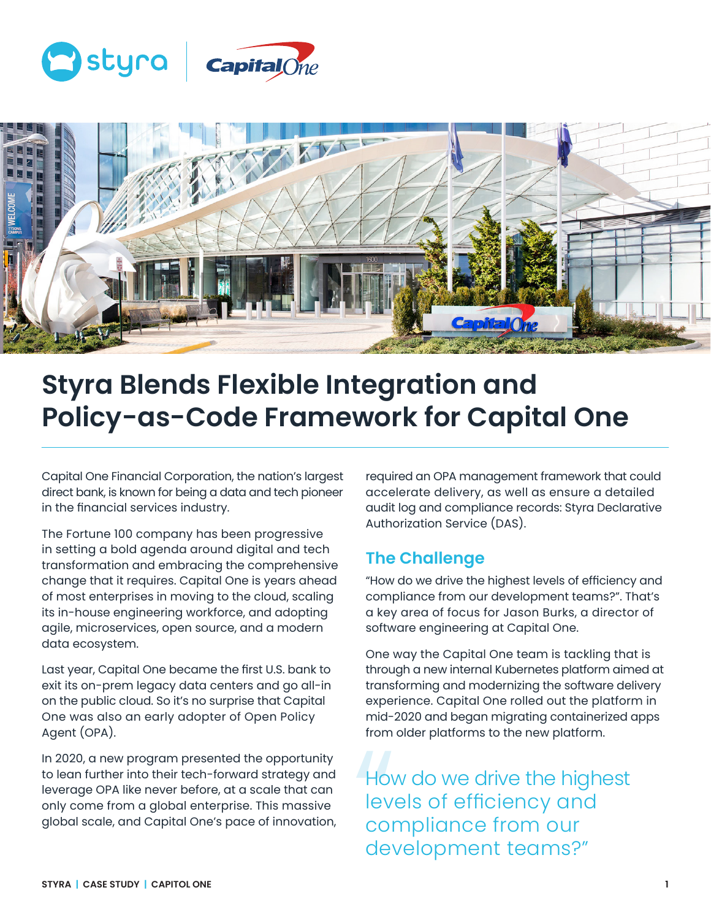



# **Styra Blends Flexible Integration and Policy-as-Code Framework for Capital One**

Capital One Financial Corporation, the nation's largest direct bank, is known for being a data and tech pioneer in the financial services industry.

The Fortune 100 company has been progressive in setting a bold agenda around digital and tech transformation and embracing the comprehensive change that it requires. Capital One is years ahead of most enterprises in moving to the cloud, scaling its in-house engineering workforce, and adopting agile, microservices, open source, and a modern data ecosystem.

Last year, Capital One became the first U.S. bank to exit its on-prem legacy data centers and go all-in on the public cloud. So it's no surprise that Capital One was also an early adopter of Open Policy Agent (OPA).

In 2020, a new program presented the opportunity to lean further into their tech-forward strategy and leverage OPA like never before, at a scale that can only come from a global enterprise. This massive global scale, and Capital One's pace of innovation, required an OPA management framework that could accelerate delivery, as well as ensure a detailed audit log and compliance records: Styra Declarative Authorization Service (DAS).

#### **The Challenge**

"How do we drive the highest levels of efficiency and compliance from our development teams?". That's a key area of focus for Jason Burks, a director of software engineering at Capital One.

One way the Capital One team is tackling that is through a new internal Kubernetes platform aimed at transforming and modernizing the software delivery experience. Capital One rolled out the platform in mid-2020 and began migrating containerized apps from older platforms to the new platform.

Hov<br>
lev<br>
cor<br>
dev How do we drive the highest levels of efficiency and compliance from our development teams?"